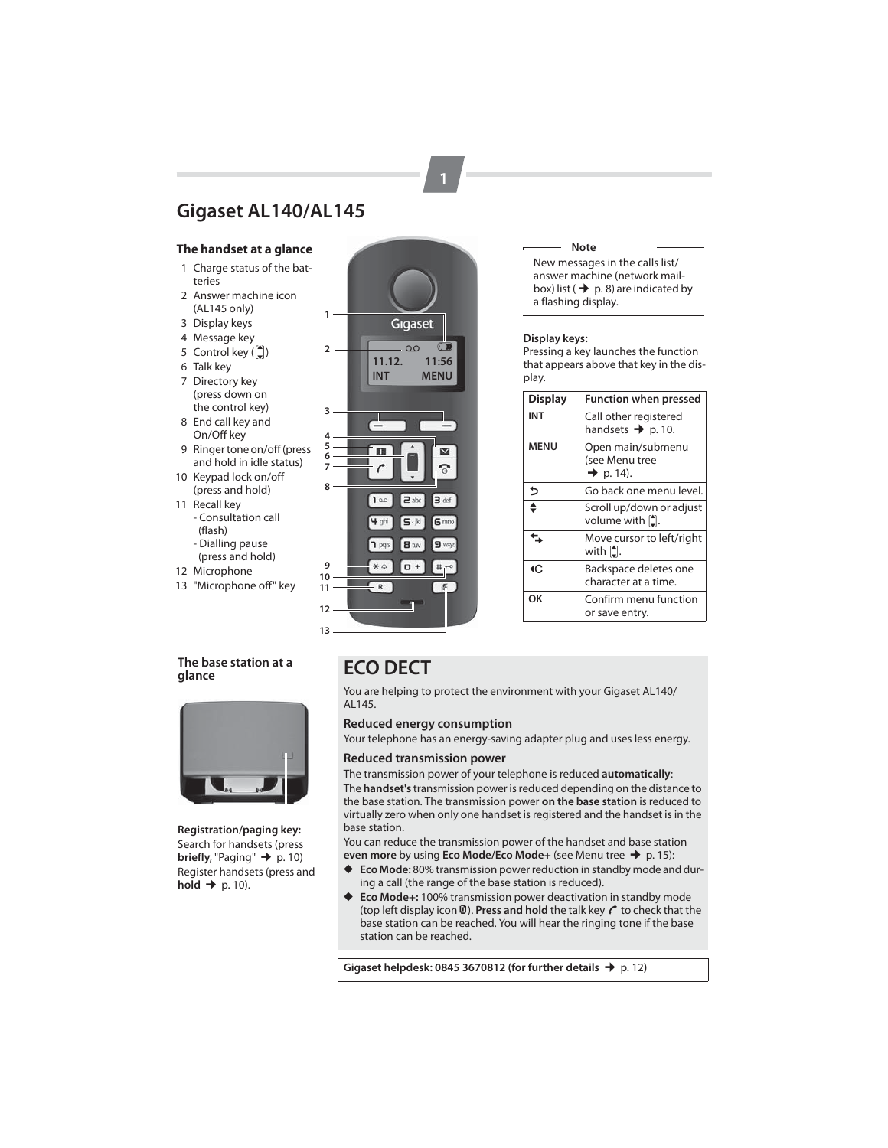# **Gigaset AL140/AL145**

## **The handset at a glance**

- 1 Charge status of the batteries
- 2 Answer machine icon (AL145 only)
- 3 Display keys
- 4 Message key
- 5 Control key  $\binom{4}{x}$
- 6 Talk key
- 7 Directory key (press down on
- the control key)
- 8 End call key and On/Off key
- 9 Ringer tone on/off (press and hold in idle status)
- 10 Keypad lock on/off (press and hold)
- 11 Recall key - Consultation call
	- (flash)
	- Dialling pause
	- (press and hold)
- 12 Microphone
- 13 "Microphone off" key

## **The base station at a glance**



**Registration/paging key:** Search for handsets (press **briefly**, "Paging"  $\rightarrow$  p. 10) Register handsets (press and  $ho$ **id**  $\rightarrow$  p. 10).



**1**

#### **Note**

New messages in the calls list/ answer machine (network mailbox) list ( $\rightarrow$  p. 8) are indicated by a flashing display.

#### **Display keys:**

Pressing a key launches the function that appears above that key in the display.

| <b>Display</b> | <b>Function when pressed</b>                                 |
|----------------|--------------------------------------------------------------|
| INT            | Call other registered<br>handsets $\rightarrow$ p. 10.       |
| <b>MENU</b>    | Open main/submenu<br>(see Menu tree<br>$\rightarrow$ p. 14). |
| ⇒              | Go back one menu level.                                      |
| ≜              | Scroll up/down or adjust<br>volume with [ <sup>*</sup> ].    |
|                | Move cursor to left/right<br>with [ <del>1]</del> .          |
| ∢C             | Backspace deletes one<br>character at a time.                |
| OK             | Confirm menu function<br>or save entry.                      |

# **ECO DECT**

You are helping to protect the environment with your Gigaset AL140/ AL145.

## **Reduced energy consumption**

Your telephone has an energy-saving adapter plug and uses less energy.

## **Reduced transmission power**

The transmission power of your telephone is reduced **automatically**:

The **handset's** transmission power is reduced depending on the distance to the base station. The transmission power **on the base station** is reduced to virtually zero when only one handset is registered and the handset is in the base station.

You can reduce the transmission power of the handset and base station **even more** by using **Eco Mode/Eco Mode+** (see Menu tree → p. 15):<br>◆ **Eco Mode:** 80% transmission power reduction in standby mode and

- **Eco Mode:** 80% transmission power reduction in standby mode and during a call (the range of the base station is reduced).
- ◆ **Eco Mode+:** 100% transmission power deactivation in standby mode (top left display icon **0**). Press and hold the talk key  $\mathcal C$  to check that the base station can be reached. You will hear the ringing tone if the base station can be reached.

**Gigaset helpdesk: 0845 3670812 (for further details → p. 12)**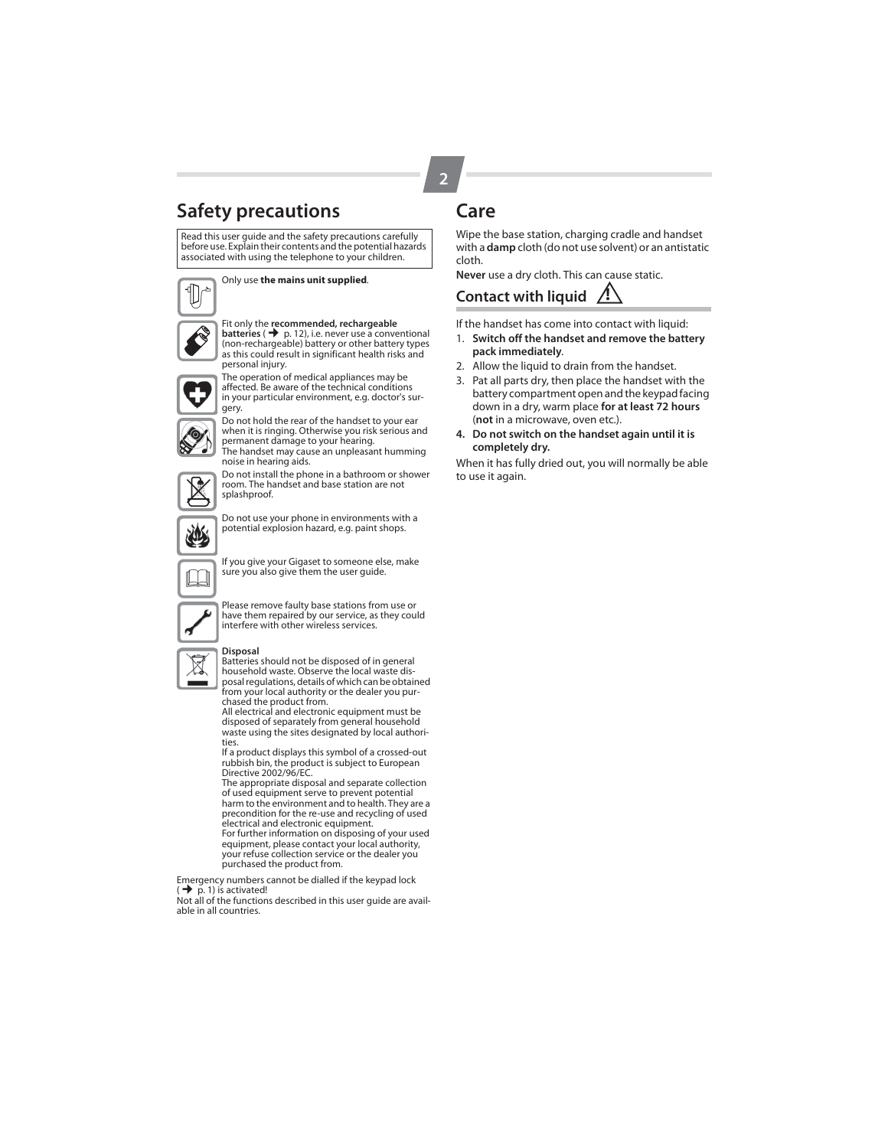# **Safety precautions**

Read this user guide and the safety precautions carefully before use. Explain their contents and the potential hazards associated with using the telephone to your children.

Only use **the mains unit supplied**.



# Fit only the **recommended, rechargeable<br><b>batteries ( →** p. 12), i.e. never use a conventional<br>(non-rechargeable) battery or other battery types as this could result in significant health risks and



The operation of medical appliances may be affected. Be aware of the technical conditions in your particular environment, e.g. doctor's surgery.



Do not hold the rear of the handset to your ear when it is ringing. Otherwise you risk serious and permanent damage to your hearing. The handset may cause an unpleasant humming noise in hearing aids.



Do not install the phone in a bathroom or shower room. The handset and base station are not splashproof.

Do not use your phone in environments with a potential explosion hazard, e.g. paint shops.



If you give your Gigaset to someone else, make sure you also give them the user guide.



Please remove faulty base stations from use or have them repaired by our service, as they could interfere with other wireless services.

#### **Disposal**

Batteries should not be disposed of in general household waste. Observe the local waste dis-posal regulations, details of which can be obtained from your local authority or the dealer you pur-

chased the product from. All electrical and electronic equipment must be

disposed of separately from general household waste using the sites designated by local authorities.

If a product displays this symbol of a crossed-out rubbish bin, the product is subject to European Directive 2002/96/EC.

The appropriate disposal and separate collection of used equipment serve to prevent potential harm to the environment and to health. They are a precondition for the re-use and recycling of used electrical and electronic equipment. For further information on disposing of your used equipment, please contact your local authority, your refuse collection service or the dealer you purchased the product from.

Emergency numbers cannot be dialled if the keypad lock (¢ p. 1) is activated! Not all of the functions described in this user guide are avail-

able in all countries.

# **Care**

**2**

Wipe the base station, charging cradle and handset with a **damp** cloth (do not use solvent) or an antistatic cloth.

**Never** use a dry cloth. This can cause static.

# **Contact with liquid !**

If the handset has come into contact with liquid:

- 1. **Switch off the handset and remove the battery pack immediately**.
- 2. Allow the liquid to drain from the handset.
- 3. Pat all parts dry, then place the handset with the battery compartment open and the keypad facing down in a dry, warm place **for at least 72 hours** (**not** in a microwave, oven etc.).
- **4. Do not switch on the handset again until it is completely dry.**

When it has fully dried out, you will normally be able to use it again.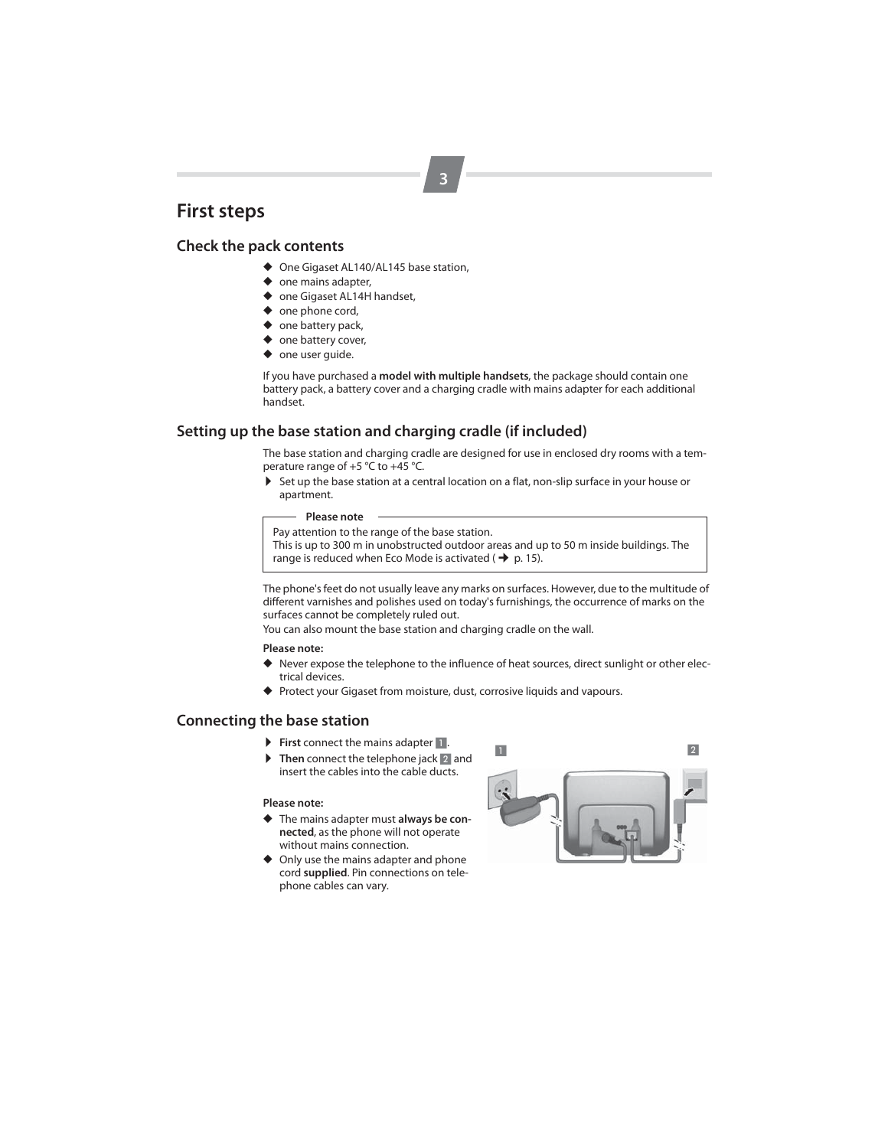# **First steps**

## **Check the pack contents**

- ◆ One Gigaset AL140/AL145 base station,
- ◆ one mains adapter,
- ◆ one Gigaset AL14H handset,
- ◆ one phone cord,
- ◆ one battery pack,
- ◆ one battery cover,
- ◆ one user guide.

If you have purchased a **model with multiple handsets**, the package should contain one battery pack, a battery cover and a charging cradle with mains adapter for each additional handset.

## **Setting up the base station and charging cradle (if included)**

The base station and charging cradle are designed for use in enclosed dry rooms with a temperature range of +5 °C to +45 °C.

▶ Set up the base station at a central location on a flat, non-slip surface in your house or apartment.

#### **Please note** Pay attention to the range of the base station.

This is up to 300 m in unobstructed outdoor areas and up to 50 m inside buildings. The range is reduced when Eco Mode is activated ( $\rightarrow$  p. 15).

The phone's feet do not usually leave any marks on surfaces. However, due to the multitude of different varnishes and polishes used on today's furnishings, the occurrence of marks on the surfaces cannot be completely ruled out.

You can also mount the base station and charging cradle on the wall.

**Please note:** 

- ◆ Never expose the telephone to the influence of heat sources, direct sunlight or other electrical devices.
- ◆ Protect your Gigaset from moisture, dust, corrosive liquids and vapours.

## **Connecting the base station**

- **First** connect the mains adapter 1.
- Then connect the telephone jack 2 and insert the cables into the cable ducts.

#### **Please note:**

- ◆ The mains adapter must **always be connected**, as the phone will not operate without mains connection.
- ◆ Only use the mains adapter and phone cord **supplied**. Pin connections on telephone cables can vary.

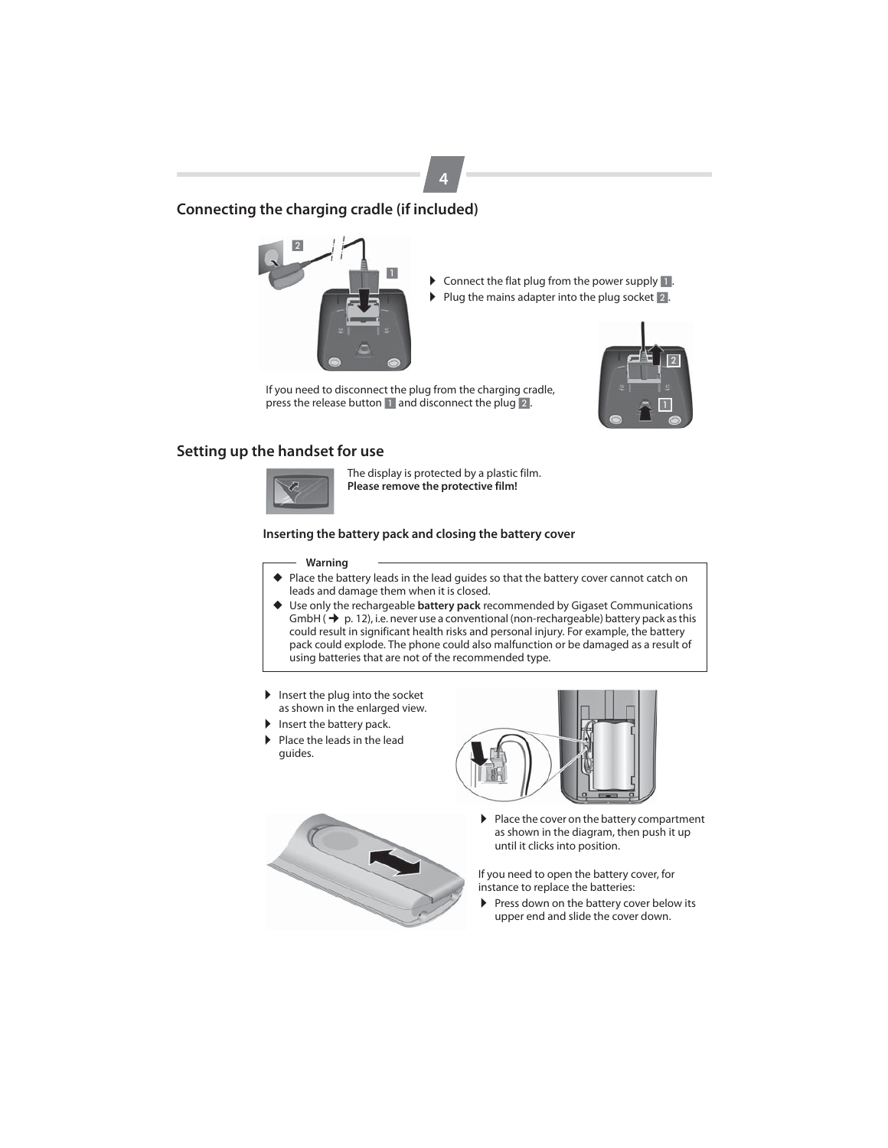

## **Connecting the charging cradle (if included)**



- ▶ Connect the flat plug from the power supply 1.  $\blacktriangleright$  Plug the mains adapter into the plug socket  $\sqrt{2}$ .
- 

If you need to disconnect the plug from the charging cradle, press the release button 1 and disconnect the plug 2.



## **Setting up the handset for use**



The display is protected by a plastic film. **Please remove the protective film!**

### **Inserting the battery pack and closing the battery cover**

#### **Warning**

- ◆ Place the battery leads in the lead guides so that the battery cover cannot catch on leads and damage them when it is closed.
- ◆ Use only the rechargeable **battery pack** recommended by Gigaset Communications GmbH  $(\rightarrow p. 12)$ , i.e. never use a conventional (non-rechargeable) battery pack as this could result in significant health risks and personal injury. For example, the battery pack could explode. The phone could also malfunction or be damaged as a result of using batteries that are not of the recommended type.
- $\blacktriangleright$  Insert the plug into the socket as shown in the enlarged view.
- Insert the battery pack.<br>
Insert the leads in the leads
- Place the leads in the lead guides.



 $\blacktriangleright$  Place the cover on the battery compartment as shown in the diagram, then push it up until it clicks into position.

If you need to open the battery cover, for instance to replace the batteries:

Press down on the battery cover below its upper end and slide the cover down.

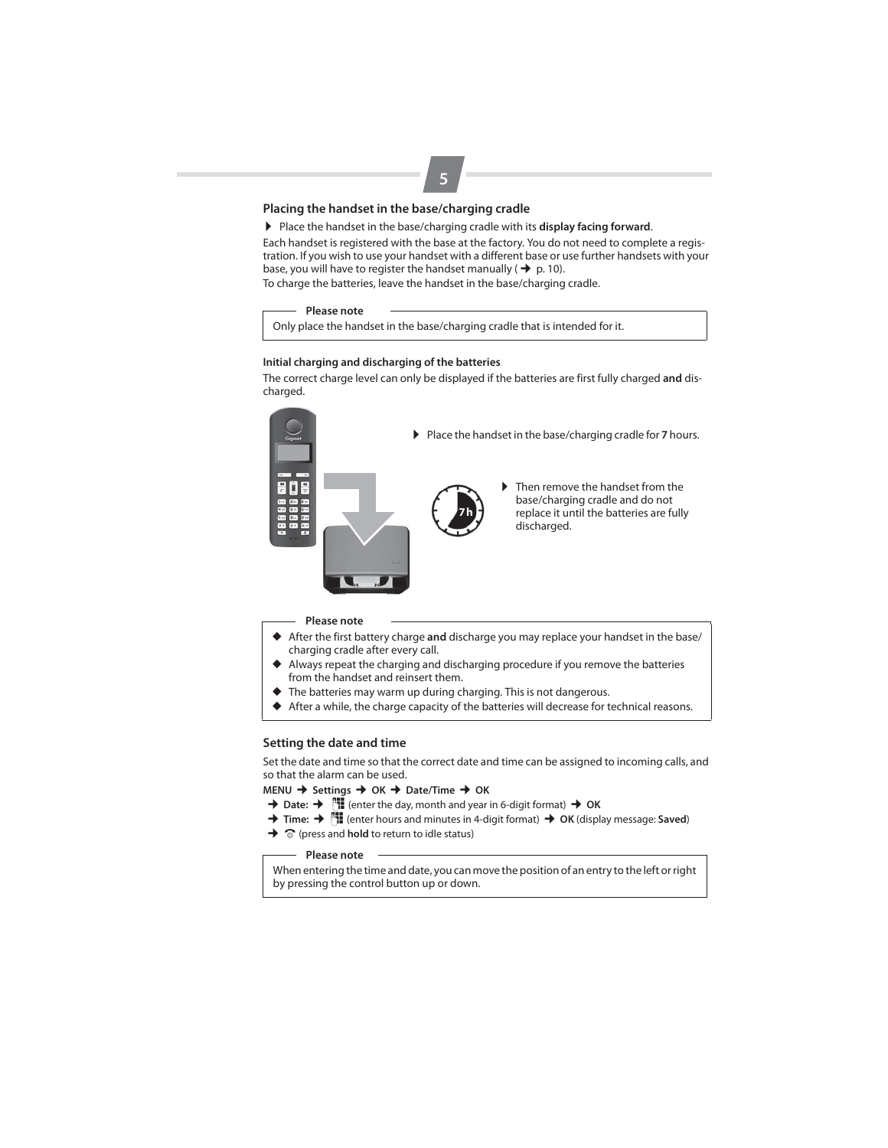## **Placing the handset in the base/charging cradle**

▶ Place the handset in the base/charging cradle with its **display facing forward**.

Each handset is registered with the base at the factory. You do not need to complete a registration. If you wish to use your handset with a different base or use further handsets with your base, you will have to register the handset manually ( $\rightarrow$  p. 10).

To charge the batteries, leave the handset in the base/charging cradle.

### **Please note**

Only place the handset in the base/charging cradle that is intended for it.

#### **Initial charging and discharging of the batteries**

The correct charge level can only be displayed if the batteries are first fully charged **and** discharged.



### **Please note**

- ◆ After the first battery charge **and** discharge you may replace your handset in the base/ charging cradle after every call.
- ◆ Always repeat the charging and discharging procedure if you remove the batteries from the handset and reinsert them.
- The batteries may warm up during charging. This is not dangerous.
- ◆ After a while, the charge capacity of the batteries will decrease for technical reasons.

### **Setting the date and time**

Set the date and time so that the correct date and time can be assigned to incoming calls, and so that the alarm can be used.

## **MENU** ¢ **Settings** ¢ **OK** ¢ **Date/Time** ¢ **OK**

- $\rightarrow$  Date:  $\rightarrow$  <sup>1</sup> (enter the day, month and year in 6-digit format)  $\rightarrow$  OK
- $\rightarrow$  Time:  $\rightarrow$  <sup>[1</sup>] (enter hours and minutes in 4-digit format)  $\rightarrow$  OK (display message: Saved)
- $\rightarrow \infty$  (press and **hold** to return to idle status)

#### **Please note**

When entering the time and date, you can move the position of an entry to the left or right by pressing the control button up or down.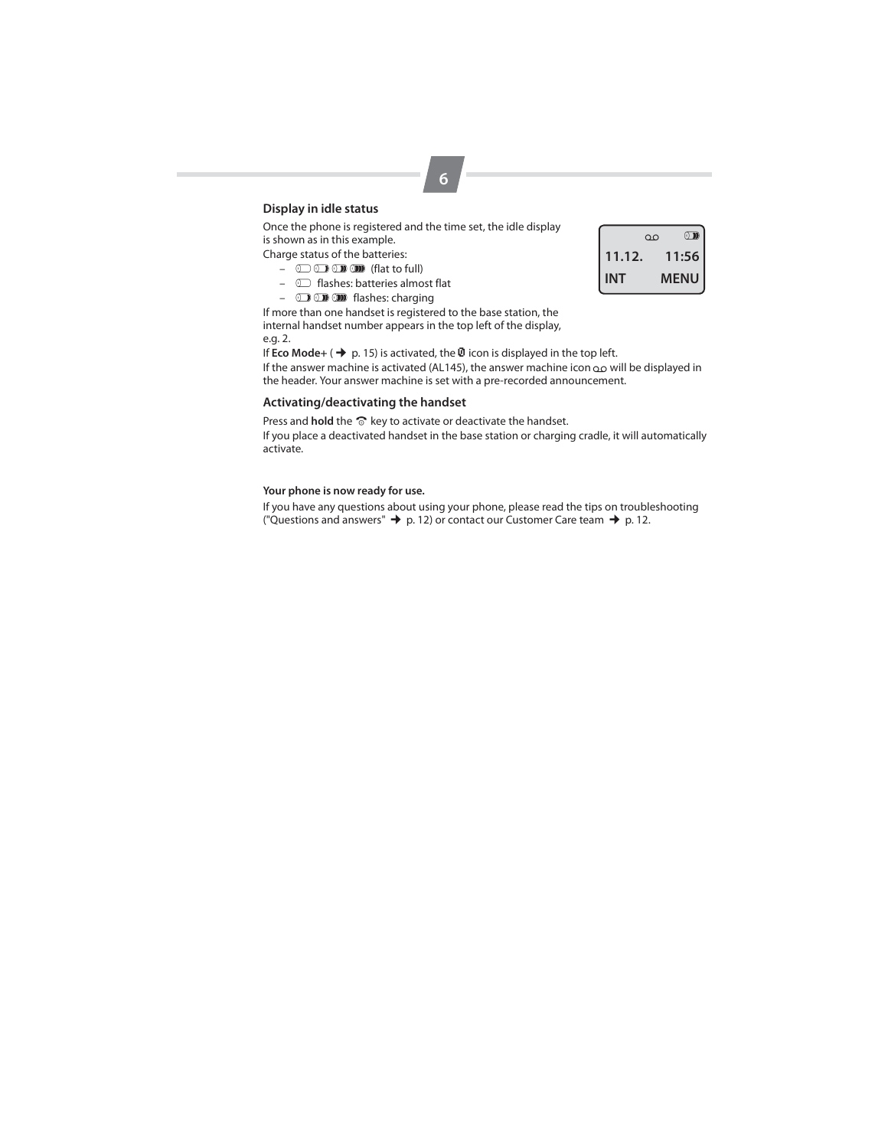## **Display in idle status**

Once the phone is registered and the time set, the idle display is shown as in this example.

Charge status of the batteries:

- $\circledcirc$   $\circledcirc$   $\circledcirc$   $\circledcirc$  (flat to full)
- $\circ$  flashes: batteries almost flat
- **D D m** flashes: charging

If more than one handset is registered to the base station, the internal handset number appears in the top left of the display, e.g. 2.

If **Eco Mode**+ ( $\rightarrow$  p. 15) is activated, the  $\overline{w}$  icon is displayed in the top left.

If the answer machine is activated (AL145), the answer machine icon  $\infty$  will be displayed in the header. Your answer machine is set with a pre-recorded announcement.

## **Activating/deactivating the handset**

Press and **hold** the  $\widehat{\circ}$  key to activate or deactivate the handset.

If you place a deactivated handset in the base station or charging cradle, it will automatically activate.

## **Your phone is now ready for use.**

If you have any questions about using your phone, please read the tips on troubleshooting ("Questions and answers"  $\rightarrow$  p. 12) or contact our Customer Care team  $\rightarrow$  p. 12.

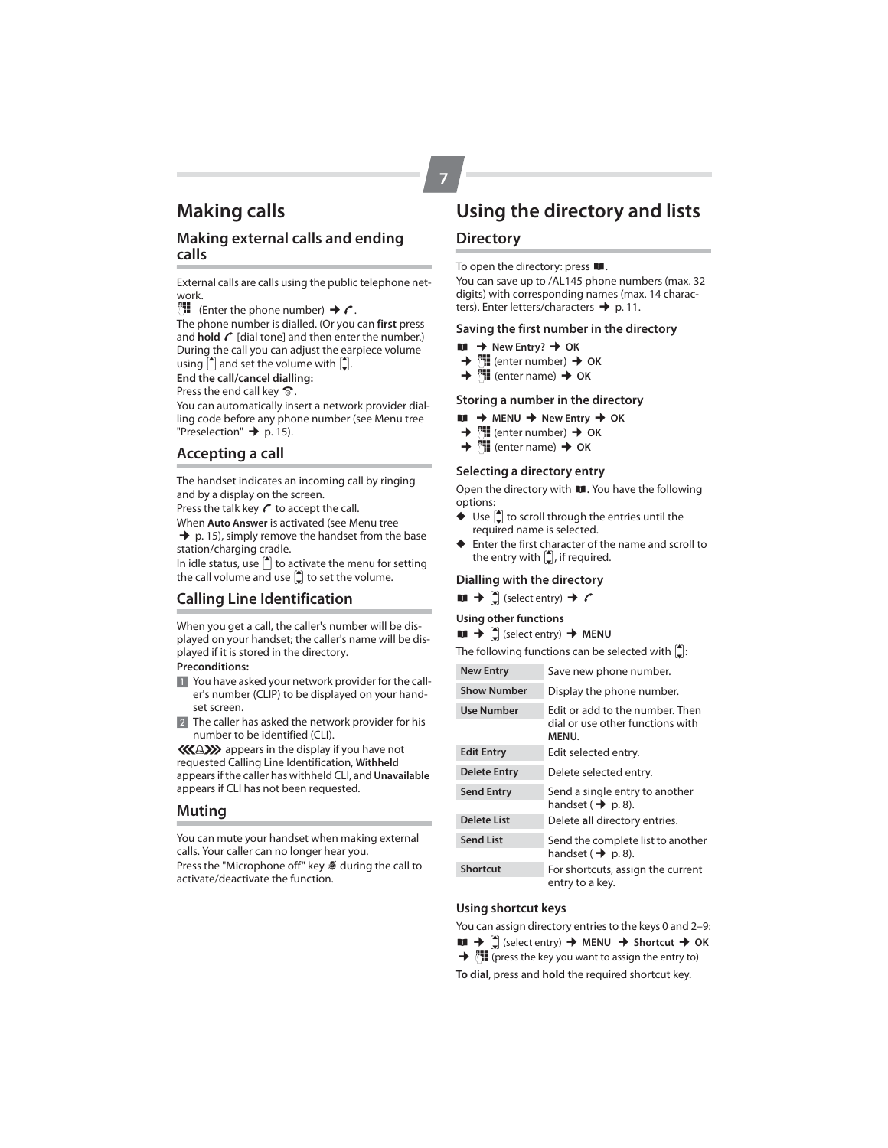# **Making calls**

## **Making external calls and ending calls**

External calls are calls using the public telephone network.

 $\Box$  (Enter the phone number) →  $\prime$ .

The phone number is dialled. (Or you can **first** press and **hold**  $\mathcal{C}$  [dial tone] and then enter the number.) During the call you can adjust the earpiece volume using  $\left\lfloor \bullet \right\rfloor$  and set the volume with  $\left\lfloor \bullet \right\rfloor$ .

**End the call/cancel dialling:**

Press the end call key  $\widehat{\infty}$ .

You can automatically insert a network provider dialling code before any phone number (see Menu tree "Preselection"  $\rightarrow$  p. 15).

## **Accepting a call**

The handset indicates an incoming call by ringing and by a display on the screen.

Press the talk key  $\mathcal C$  to accept the call.

When **Auto Answer** is activated (see Menu tree  $\rightarrow$  p. 15), simply remove the handset from the base station/charging cradle.

In idle status, use  $\left( \bullet \right)$  to activate the menu for setting the call volume and use  $\left[ \bullet \right]$  to set the volume.

## **Calling Line Identification**

When you get a call, the caller's number will be displayed on your handset; the caller's name will be displayed if it is stored in the directory.

### **Preconditions:**

- 1 You have asked your network provider for the caller's number (CLIP) to be displayed on your handset screen.
- 2 The caller has asked the network provider for his number to be identified (CLI).

**KAEY** appears in the display if you have not requested Calling Line Identification, **Withheld** appears if the caller has withheld CLI, and **Unavailable** appears if CLI has not been requested.

## **Muting**

You can mute your handset when making external calls. Your caller can no longer hear you.

Press the "Microphone off" key  $\blacklozenge$  during the call to activate/deactivate the function.

# **Using the directory and lists**

## **Directory**

**7**

To open the directory: press  $\blacksquare$ .

You can save up to /AL145 phone numbers (max. 32 digits) with corresponding names (max. 14 characters). Enter letters/characters  $\rightarrow$  p. 11.

## **Saving the first number in the directory**

- 
- **hu**  $\rightarrow$  New Entry?  $\rightarrow$  OK  $\rightarrow$  <sup>3</sup>H (enter number) → <sup>*[*\*</sup>]] (enter number) → OK</sup>
- $\rightarrow$   $\mathbb{H}$  (enter name)  $\rightarrow$  OK

## **Storing a number in the directory**

- $\uparrow \uparrow$  MENU  $\uparrow \uparrow$  New Entry  $\uparrow \uparrow$  OK<br>  $\uparrow \uparrow$   $\uparrow \uparrow$  (enter number)  $\uparrow \uparrow$  OK
- **<sup>[\*</sup>]** (enter number) → OK
- $\rightarrow$  **H** (enter name)  $\rightarrow$  OK

### **Selecting a directory entry**

Open the directory with  $\blacksquare$ . You have the following options:

- $\blacklozenge$  Use  $\lbrack \stackrel{\blacktriangle}{=} \rbrack$  to scroll through the entries until the required name is selected.
- ◆ Enter the first character of the name and scroll to the entry with  $\left(\frac{1}{2}\right)$ , if required.

### **Dialling with the directory**

 $\blacksquare$   $\rightarrow$   $\lbrack \cdot \rbrack$  (select entry)  $\rightarrow$   $\prime$ 

#### **Using other functions**

## $\blacksquare$   $\rightarrow$   $\lbrack \cdot \rbrack$  (select entry)  $\rightarrow$  MENU

The following functions can be selected with  $\left[ \frac{A}{n} \right]$ :

- **New Entry** Save new phone number. **Show Number** Display the phone number.
- **Use Number** Edit or add to the number. Then dial or use other functions with **MENU**. **Edit Entry** Edit selected entry.

| <b>Delete Entry</b> | Delete selected entry.                                              |
|---------------------|---------------------------------------------------------------------|
| <b>Send Entry</b>   | Send a single entry to another<br>handset ( $\rightarrow$ p. 8).    |
| <b>Delete List</b>  | Delete all directory entries.                                       |
| <b>Send List</b>    | Send the complete list to another<br>handset ( $\rightarrow$ p. 8). |
| <b>Shortcut</b>     | For shortcuts, assign the current<br>entry to a key.                |

## **Using shortcut keys**

You can assign directory entries to the keys 0 and 2–9:

 $\blacksquare$   $\rightarrow$   $\binom{4}{2}$  (select entry)  $\rightarrow$  MENU  $\rightarrow$  Shortcut  $\rightarrow$  OK

→ [H] (press the key you want to assign the entry to)

**To dial**, press and **hold** the required shortcut key.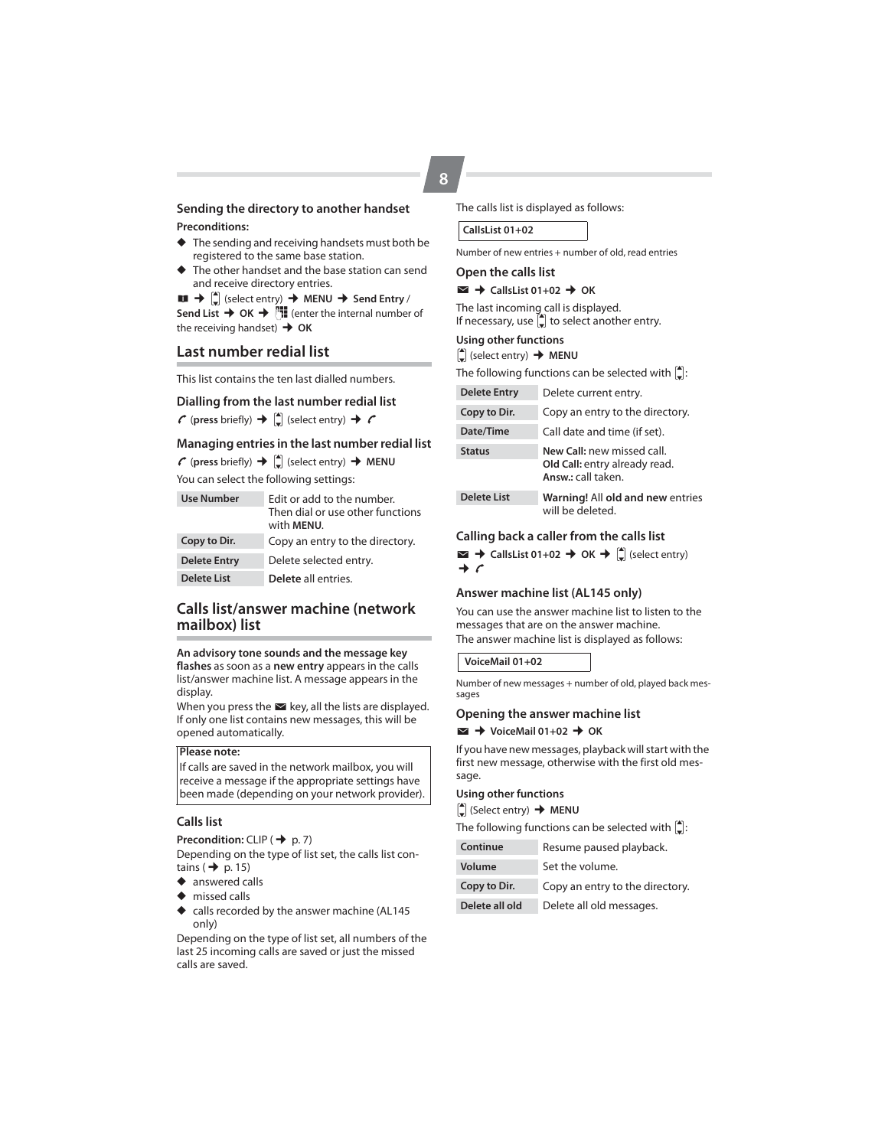## **Sending the directory to another handset Preconditions:**

- ◆ The sending and receiving handsets must both be registered to the same base station.
- ◆ The other handset and the base station can send and receive directory entries.

 $\blacksquare$   $\blacklozenge$  (select entry)  $\blacktriangleright$  MENU  $\blacktriangleright$  Send Entry / **Send List**  $\rightarrow$  **OK**  $\rightarrow$  $\begin{matrix} \bullet \\ \bullet \end{matrix}$  **(enter the internal number of** the receiving handset) **→ OK** 

## **Last number redial list**

This list contains the ten last dialled numbers.

### **Dialling from the last number redial list**

 $\mathcal C$  (press briefly)  $\rightarrow$   $\left(\frac{1}{2}\right)$  (select entry)  $\rightarrow$   $\mathcal C$ 

#### **Managing entries in the last number redial list**

 $\curvearrowleft$  (press briefly)  $\rightarrow$   $\begin{bmatrix} \downarrow \\ \downarrow \end{bmatrix}$  (select entry)  $\rightarrow$  **MENU** 

You can select the following settings:

| <b>Use Number</b>   | Edit or add to the number.<br>Then dial or use other functions<br>with MENU. |
|---------------------|------------------------------------------------------------------------------|
| Copy to Dir.        | Copy an entry to the directory.                                              |
| <b>Delete Entry</b> | Delete selected entry.                                                       |
| <b>Delete List</b>  | Delete all entries.                                                          |

## **Calls list/answer machine (network mailbox) list**

**An advisory tone sounds and the message key flashes** as soon as a **new entry** appears in the calls list/answer machine list. A message appears in the display.

When you press the  $\blacktriangleright$  key, all the lists are displayed. If only one list contains new messages, this will be opened automatically.

#### **Please note:**

If calls are saved in the network mailbox, you will receive a message if the appropriate settings have been made (depending on your network provider).

#### **Calls list**

**Precondition:** CLIP ( $\rightarrow$  p. 7)

Depending on the type of list set, the calls list contains ( $\rightarrow$  p. 15)

- ◆ answered calls
- ◆ missed calls
- ◆ calls recorded by the answer machine (AL145 only)

Depending on the type of list set, all numbers of the last 25 incoming calls are saved or just the missed calls are saved.

#### The calls list is displayed as follows:

Number of new entries + number of old, read entries

### **Open the calls list**

 $\blacktriangleright$  CallsList 01+02 → OK

The last incoming call is displayed. If necessary, use  $\left(\frac{1}{r}\right)$  to select another entry.

## **Using other functions**

 $\left[\begin{array}{c} \bullet \\ \bullet \end{array}\right]$  (select entry)  $\rightarrow$  **MENU** 

| The following functions can be selected with $\vert \hat{\mathbb{L}} \vert$ : |                       |  |  |  |  |  |  |
|-------------------------------------------------------------------------------|-----------------------|--|--|--|--|--|--|
| <b>Delete Entry</b>                                                           | Delete current entry. |  |  |  |  |  |  |

| Copy to Dir.       | Copy an entry to the directory.                                                   |
|--------------------|-----------------------------------------------------------------------------------|
| Date/Time          | Call date and time (if set).                                                      |
| <b>Status</b>      | New Call: new missed call.<br>Old Call: entry already read.<br>Answ.: call taken. |
| <b>Delete List</b> | Warning! All old and new entries<br>will be deleted.                              |

#### **Calling back a caller from the calls list**

 $\blacktriangleright$  **CallsList 01+02 → OK →**  $\left[\begin{matrix} \bullet \\ \bullet \end{matrix}\right]$  **(select entry)**  $\rightarrow c$ 

#### **Answer machine list (AL145 only)**

You can use the answer machine list to listen to the messages that are on the answer machine. The answer machine list is displayed as follows:

#### **VoiceMail 01+02**

Number of new messages + number of old, played back messages

#### **Opening the answer machine list**

 $\blacktriangleright$  VoiceMail 01+02  $\rightarrow$  OK

If you have new messages, playback will start with the first new message, otherwise with the first old message.

## **Using other functions**

 $\left[$ **■** (Select entry) **→ MENU** 

| The following functions can be selected with $\left[ \rule{0pt}{1.5mm} \right]$ : |  |
|-----------------------------------------------------------------------------------|--|
|-----------------------------------------------------------------------------------|--|

| Volume | Set the volume. |
|--------|-----------------|
|        |                 |

**Copy to Dir.** Copy an entry to the directory.

**Delete all old** Delete all old messages.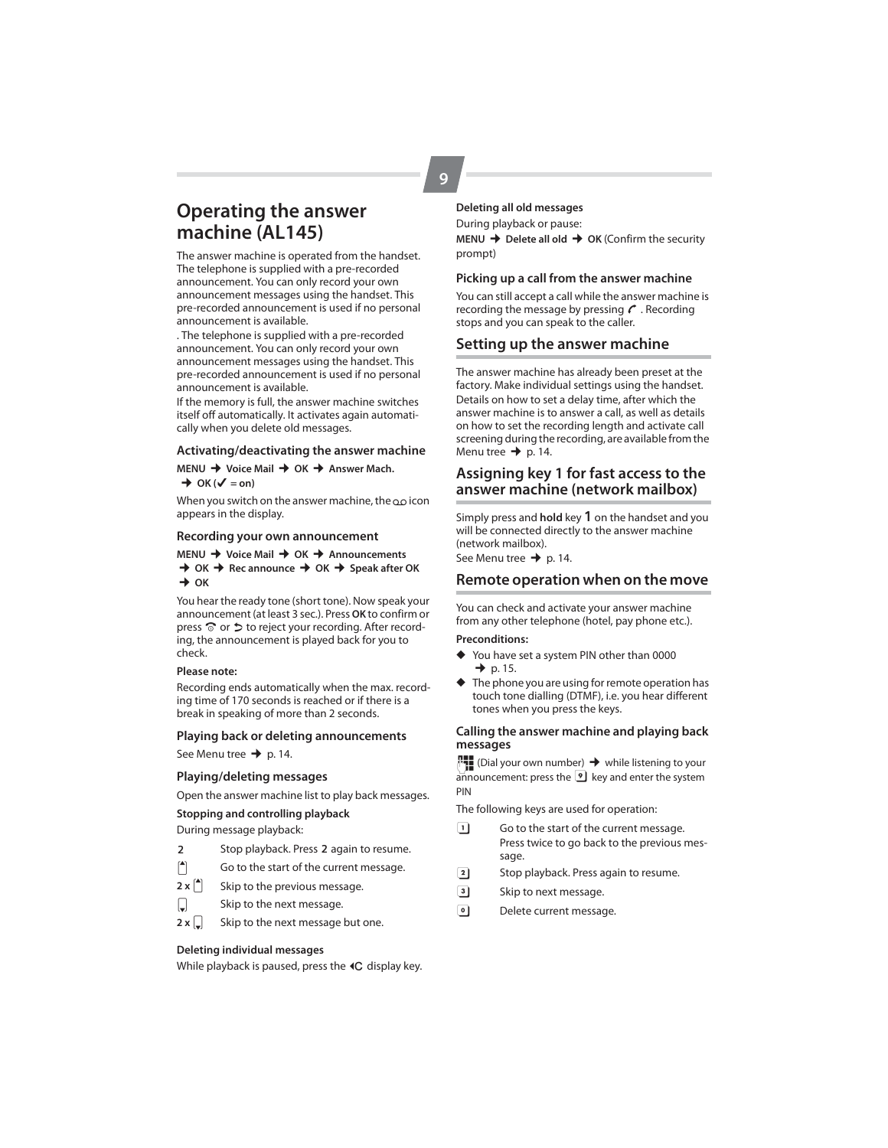# **Operating the answer machine (AL145)**

The answer machine is operated from the handset. The telephone is supplied with a pre-recorded announcement. You can only record your own announcement messages using the handset. This pre-recorded announcement is used if no personal announcement is available.

. The telephone is supplied with a pre-recorded announcement. You can only record your own announcement messages using the handset. This pre-recorded announcement is used if no personal announcement is available.

If the memory is full, the answer machine switches itself off automatically. It activates again automatically when you delete old messages.

#### **Activating/deactivating the answer machine**

**MENU → Voice Mail → OK → Answer Mach.** 

 $\rightarrow$  OK ( $\checkmark$  = on)

When you switch on the answer machine, the  $\infty$  icon appears in the display.

#### **Recording your own announcement**

#### **MENU → Voice Mail → OK → Announcements**  $\rightarrow$  OK  $\rightarrow$  Rec announce  $\rightarrow$  OK  $\rightarrow$  Speak after OK  $\rightarrow$  OK

You hear the ready tone (short tone). Now speak your announcement (at least 3 sec.). Press **OK** to confirm or press  $\widehat{\circ}$  or  $\triangleright$  to reject your recording. After recording, the announcement is played back for you to check.

#### **Please note:**

Recording ends automatically when the max. recording time of 170 seconds is reached or if there is a break in speaking of more than 2 seconds.

#### **Playing back or deleting announcements**

See Menu tree  $\rightarrow$  p. 14.

#### **Playing/deleting messages**

Open the answer machine list to play back messages.

#### **Stopping and controlling playback**

During message playback:

- 2 Stop playback. Press 2 again to resume.
- $\left| \begin{matrix} 4 \\ 1 \end{matrix} \right|$  Go to the start of the current message.
- $2 \times \begin{bmatrix} A \\ C \end{bmatrix}$  Skip to the previous message.
- $\Box$  Skip to the next message.
- $2 \times \Box$  Skip to the next message but one.

#### **Deleting individual messages**

While playback is paused, press the  $\textsf{4C}$  display key.

## **Deleting all old messages**

During playback or pause: **MENU → Delete all old → OK (Confirm the security** prompt)

#### **Picking up a call from the answer machine**

You can still accept a call while the answer machine is recording the message by pressing  $\mathcal C$ . Recording stops and you can speak to the caller.

#### **Setting up the answer machine**

The answer machine has already been preset at the factory. Make individual settings using the handset. Details on how to set a delay time, after which the answer machine is to answer a call, as well as details on how to set the recording length and activate call screening during the recording, are available from the Menu tree  $\rightarrow$  p. 14.

## **Assigning key 1 for fast access to the answer machine (network mailbox)**

Simply press and **hold** key 1 on the handset and you will be connected directly to the answer machine (network mailbox).

See Menu tree  $\rightarrow$  p. 14.

## **Remote operation when on the move**

You can check and activate your answer machine from any other telephone (hotel, pay phone etc.).

#### **Preconditions:**

- You have set a system PIN other than 0000  $\rightarrow$  p. 15.
- The phone you are using for remote operation has touch tone dialling (DTMF), i.e. you hear different tones when you press the keys.

### **Calling the answer machine and playing back messages**

 $\mathbb{F}_\bullet$  (Dial your own number)  $\rightarrow$  while listening to your announcement: press the  $\boxed{9}$  key and enter the system PIN

The following keys are used for operation:

- $\boxed{1}$  Go to the start of the current message. Press twice to go back to the previous message.
- **2** Stop playback. Press again to resume.
- 3 Skip to next message.
- <sup>0</sup> Delete current message.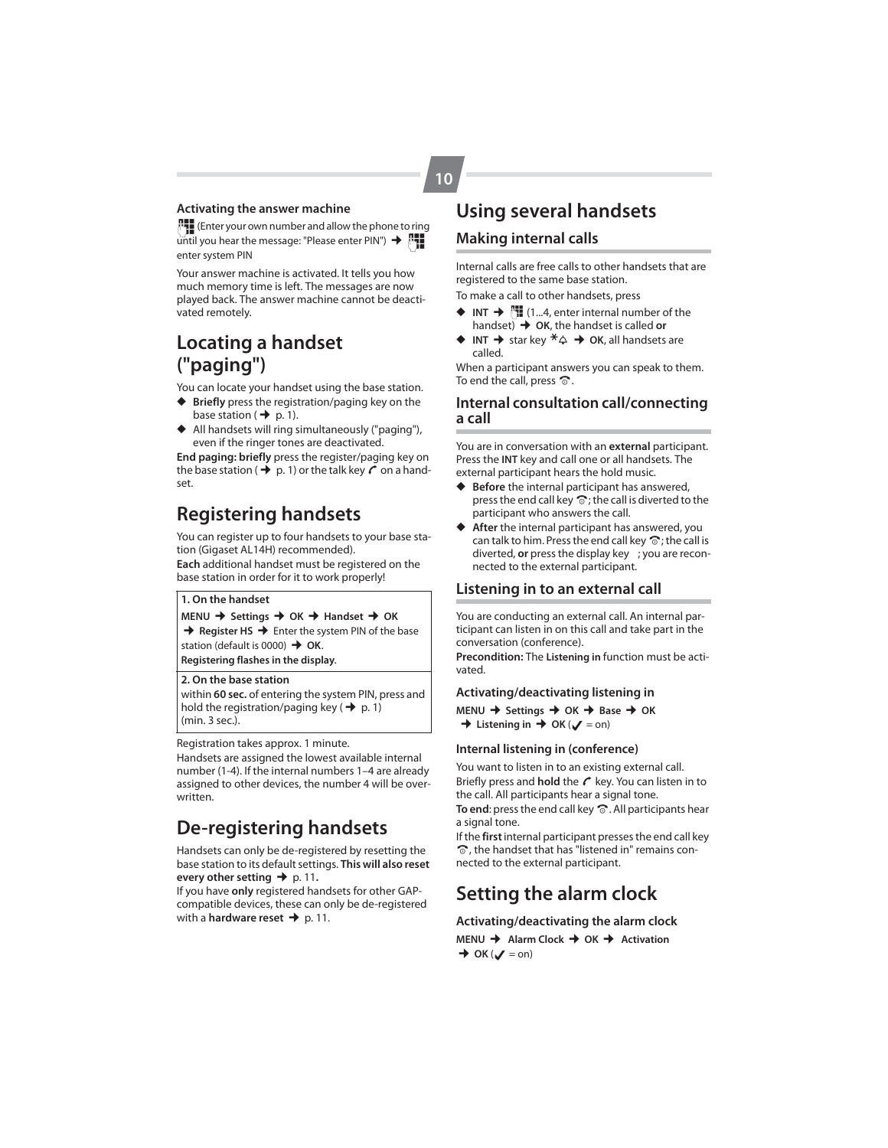## **Activating the answer machine**

~(Enter your own number and allow the phone to ring  $\overline{u}$  until you hear the message: "Please enter PIN")  $\rightarrow$   $\overline{u}$ . enter system PIN

Your answer machine is activated. It tells you how much memory time is left. The messages are now played back. The answer machine cannot be deactivated remotely.

# **Locating a handset ("paging")**

You can locate your handset using the base station.

- ◆ **Briefly** press the registration/paging key on the base station ( $\rightarrow$  p. 1).
- ◆ All handsets will ring simultaneously ("paging"), even if the ringer tones are deactivated.

**End paging: briefly** press the register/paging key on the base station ( $\rightarrow$  p. 1) or the talk key  $\sim$  on a handset.

# **Registering handsets**

You can register up to four handsets to your base station (Gigaset AL14H) recommended).

**Each** additional handset must be registered on the base station in order for it to work properly!

### **1. On the handset**

**MENU → Settings → OK → Handset → OK** 

**→ Register HS →** Enter the system PIN of the base station (default is 0000)  $\rightarrow$  OK.

**Registering flashes in the display**.

### **2. On the base station**

within **60 sec.** of entering the system PIN, press and hold the registration/paging key ( $\rightarrow$  p. 1) (min. 3 sec.).

Registration takes approx. 1 minute.

Handsets are assigned the lowest available internal number (1-4). If the internal numbers 1–4 are already assigned to other devices, the number 4 will be overwritten.

# **De-registering handsets**

Handsets can only be de-registered by resetting the base station to its default settings. **This will also reset every other setting** → p. 11.

If you have **only** registered handsets for other GAPcompatible devices, these can only be de-registered with a **hardware reset →** p. 11.

# **Using several handsets**

## **Making internal calls**

Internal calls are free calls to other handsets that are registered to the same base station.

To make a call to other handsets, press

- $\blacklozenge$  **INT**  $\blacktriangleright$   $\lbrack \cdot \rbrack$  (1...4, enter internal number of the handset) ¢**OK**, the handset is called **or**
- **INT**  $\rightarrow$  star key  $*\triangle \rightarrow OK$ , all handsets are called.

When a participant answers you can speak to them. To end the call, press  $\hat{\infty}$ .

## **Internal consultation call/connecting a call**

You are in conversation with an **external** participant. Press the **INT** key and call one or all handsets. The external participant hears the hold music.

- Before the internal participant has answered, press the end call key  $\widehat{\bullet}$ ; the call is diverted to the participant who answers the call.
- After the internal participant has answered, you can talk to him. Press the end call key  $\widehat{\circ}$ ; the call is diverted, **or** press the display key ; you are reconnected to the external participant.

#### **Listening in to an external call**

You are conducting an external call. An internal participant can listen in on this call and take part in the conversation (conference).

**Precondition:** The **Listening in** function must be activated.

### **Activating/deactivating listening in**

**MENU** ¢ **Settings** ¢ **OK** ¢ **Base** ¢ **OK**  $\rightarrow$  Listening in  $\rightarrow$  OK ( $\sqrt{ }$  = on)

### **Internal listening in (conference)**

You want to listen in to an existing external call. Briefly press and **hold** the  $\mathcal C$  key. You can listen in to the call. All participants hear a signal tone. To end: press the end call key  $\widehat{\infty}$ . All participants hear a signal tone.

If the **first** internal participant presses the end call key  $\odot$ , the handset that has "listened in" remains connected to the external participant.

# **Setting the alarm clock**

#### **Activating/deactivating the alarm clock**

**MENU → Alarm Clock → OK → Activation**  $\rightarrow$  OK ( $\sqrt{}$  = on)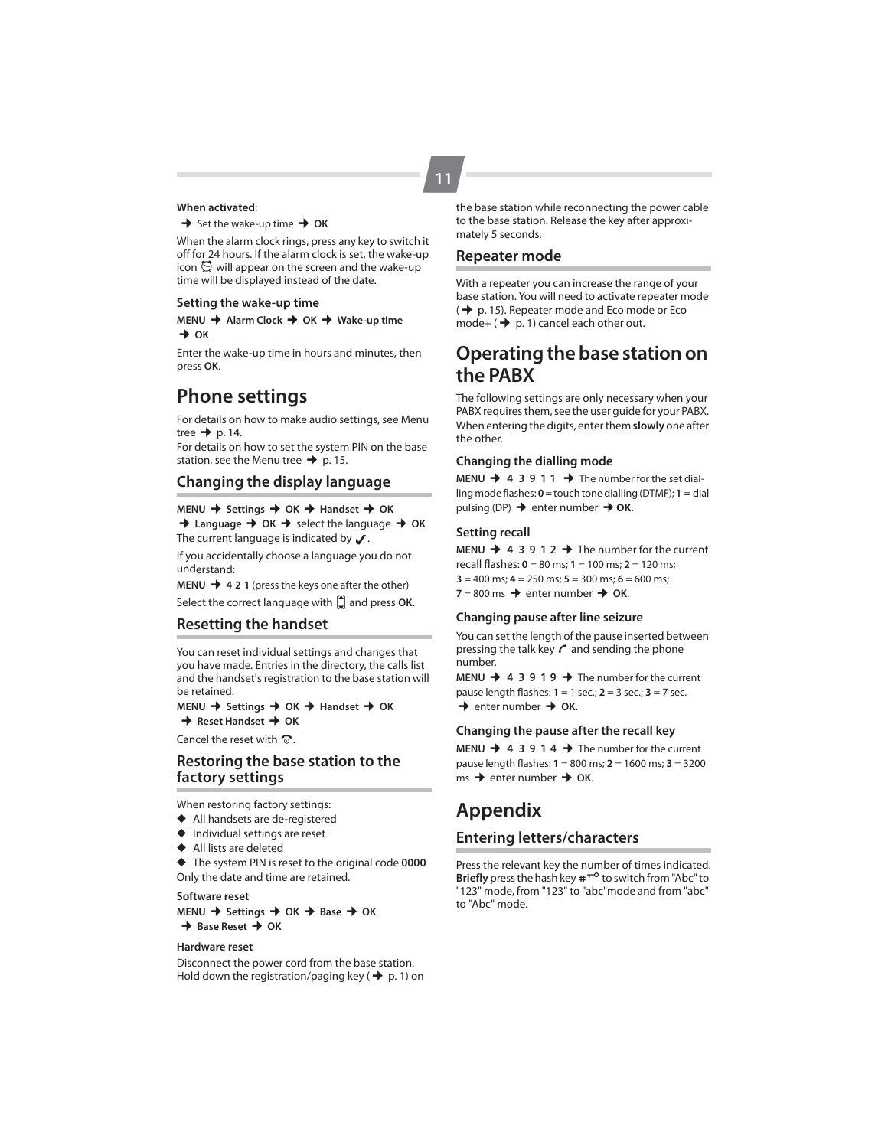#### **When activated**:

 $\rightarrow$  Set the wake-up time  $\rightarrow$  OK

When the alarm clock rings, press any key to switch it off for 24 hours. If the alarm clock is set, the wake-up icon  $\bigcirc$  will appear on the screen and the wake-up time will be displayed instead of the date.

#### **Setting the wake-up time**

**MENU** ¢ **Alarm Clock** ¢ **OK** ¢ **Wake-up time**   $\rightarrow$  OK

Enter the wake-up time in hours and minutes, then press **OK**.

# **Phone settings**

For details on how to make audio settings, see Menu tree  $\rightarrow$  p. 14.

For details on how to set the system PIN on the base station, see the Menu tree  $\rightarrow$  p. 15.

## **Changing the display language**

### **MENU → Settings → OK → Handset → OK**

 $\rightarrow$  **Language**  $\rightarrow$  **OK**  $\rightarrow$  **select the language**  $\rightarrow$  **OK** The current language is indicated by  $\sqrt{\ }$ .

If you accidentally choose a language you do not understand:

**MENU → 421** (press the keys one after the other)

Select the correct language with  $\left| \right|$  and press OK.

## **Resetting the handset**

You can reset individual settings and changes that you have made. Entries in the directory, the calls list and the handset's registration to the base station will be retained.

**MENU** ¢ **Settings** ¢ **OK** ¢ **Handset** ¢ **OK**  $→$  Reset Handset  $→$  OK

Cancel the reset with  $\widehat{\infty}$ .

## **Restoring the base station to the factory settings**

When restoring factory settings:

- ◆ All handsets are de-registered
- ◆ Individual settings are reset
- ◆ All lists are deleted

◆ The system PIN is reset to the original code **0000** Only the date and time are retained.

### **Software reset**

**MENU** ¢ **Settings** ¢ **OK** ¢ **Base** ¢ **OK**  $→$  Base Reset  $→$  OK

#### **Hardware reset**

Disconnect the power cord from the base station. Hold down the registration/paging key ( $\rightarrow$  p. 1) on the base station while reconnecting the power cable to the base station. Release the key after approximately 5 seconds.

### **Repeater mode**

**11**

With a repeater you can increase the range of your base station. You will need to activate repeater mode  $(\rightarrow$  p. 15). Repeater mode and Eco mode or Eco mode+ ( $\rightarrow$  p. 1) cancel each other out.

# **Operating the base station on the PABX**

The following settings are only necessary when your PABX requires them, see the user guide for your PABX. When entering the digits, enter them **slowly** one after the other.

#### **Changing the dialling mode**

**MENU**  $\rightarrow$  **4 3 9 1 1**  $\rightarrow$  **The number for the set dial**ling mode flashes: **0** = touch tone dialling (DTMF); **1** = dial pulsing (DP) → enter number → OK.

## **Setting recall**

**MENU**  $\rightarrow$  **4 3 9 1 2**  $\rightarrow$  **The number for the current** recall flashes: **0** = 80 ms; **1** = 100 ms; **2** = 120 ms;  $3 = 400$  ms;  $4 = 250$  ms;  $5 = 300$  ms;  $6 = 600$  ms;  $7 = 800$  ms  $\rightarrow$  enter number  $\rightarrow$  OK.

#### **Changing pause after line seizure**

You can set the length of the pause inserted between pressing the talk key  $\mathcal C$  and sending the phone number.

**MENU**  $\rightarrow$  **4 3 9 1 9**  $\rightarrow$  **The number for the current** pause length flashes: **1** = 1 sec.; **2** = 3 sec.; **3** = 7 sec.  $\rightarrow$  enter number  $\rightarrow$  OK.

#### **Changing the pause after the recall key**

**MENU**  $\rightarrow$  **4 3 9 1 4**  $\rightarrow$  **The number for the current** pause length flashes: **1** = 800 ms; **2** = 1600 ms; **3** = 3200  $ms \rightarrow$  enter number  $\rightarrow$  OK.

# **Appendix**

## **Entering letters/characters**

Press the relevant key the number of times indicated. **Briefly** press the hash key  $\#T^{\circ}$  to switch from "Abc" to "123" mode, from "123" to "abc"mode and from "abc" to "Abc" mode.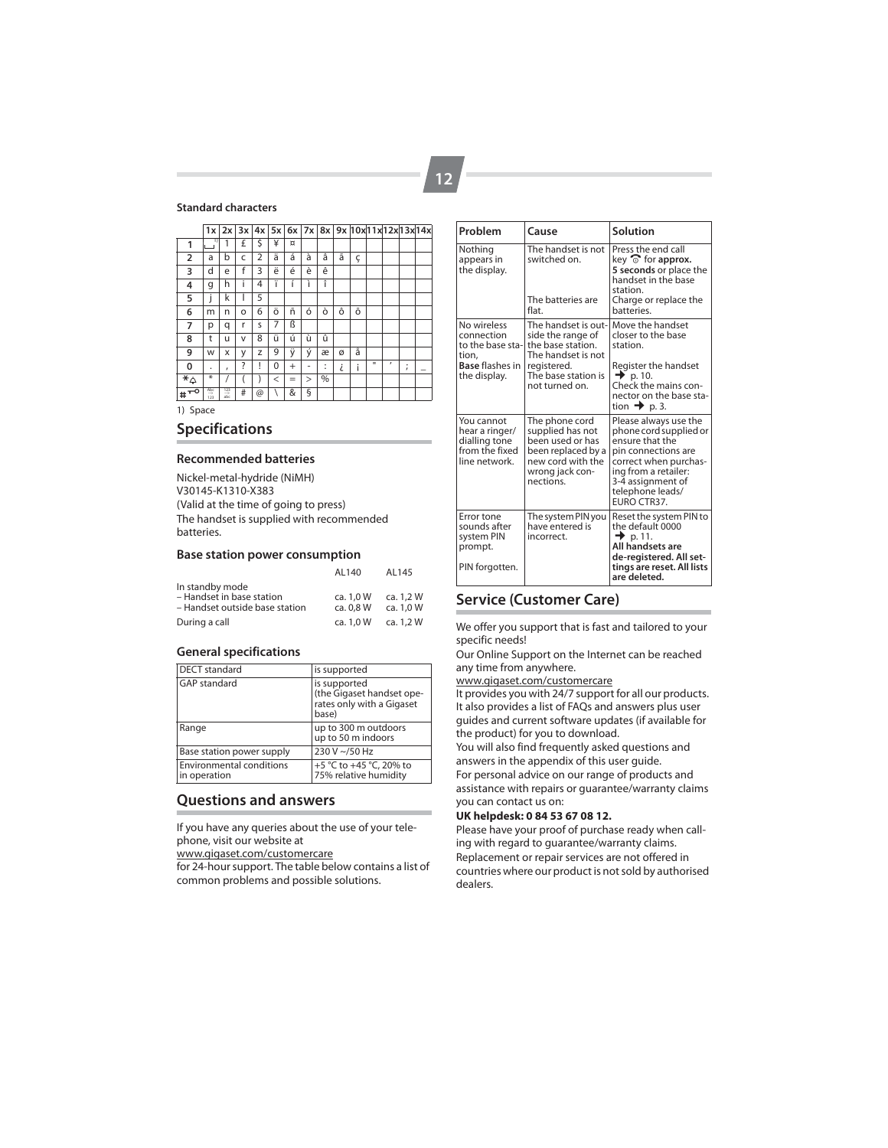### **Standard characters**

|                            | 1x         |                   | $2x$ $3x$ |    | $4x$ 5x  |           |          |         |   | 6x 7x 8x 9x 10x 11x 12x 13x 14x |              |          |        |   |
|----------------------------|------------|-------------------|-----------|----|----------|-----------|----------|---------|---|---------------------------------|--------------|----------|--------|---|
| 1                          | $\Box$     | 1                 | £         | \$ | ¥        | ¤         |          |         |   |                                 |              |          |        |   |
| $\overline{2}$             | a          | b                 | C         | 2  | ä        | á         | à        | â       | ã | ç                               |              |          |        |   |
| 3                          | d          | e                 | f         | 3  | ë        | é         | è        | ê       |   |                                 |              |          |        |   |
| 4                          | g          | h                 | i         | 4  | ï        | í         | ì        | î       |   |                                 |              |          |        |   |
| 5                          | j          | k                 | I         | 5  |          |           |          |         |   |                                 |              |          |        |   |
| 6                          | m          | n                 | o         | 6  | ö        | ñ         | ó        | ò       | ô | Õ                               |              |          |        |   |
| 7                          | р          | q                 | r         | S  | 7        | ß         |          |         |   |                                 |              |          |        |   |
| 8                          | t          | u                 | v         | 8  | ü        | ú         | ù        | û       |   |                                 |              |          |        |   |
| 9                          | W          | X                 | У         | Z  | 9        | ÿ         | ý        | æ       | ø | å                               |              |          |        |   |
| 0                          |            | $\mathbf{r}$      | ?         | ļ  | $\Omega$ | $\ddot{}$ | ۰        | ٠<br>ä, | i | i                               | $\mathbf{u}$ | $\prime$ | ٠<br>ı | - |
| $\overline{\ast}_{\Delta}$ | ⋇          |                   |           |    | $\,<$    | $=$       | $\rm{>}$ | %       |   |                                 |              |          |        |   |
| ۰O<br>т<br>#               | Abc<br>123 | $\frac{123}{abc}$ | #         | @  |          | &         | ş        |         |   |                                 |              |          |        |   |
| 1) Space                   |            |                   |           |    |          |           |          |         |   |                                 |              |          |        |   |

**Specifications**

#### **Recommended batteries**

Nickel-metal-hydride (NiMH) V30145-K1310-X383 (Valid at the time of going to press) The handset is supplied with recommended batteries.

#### **Base station power consumption**

|                                                                                | AL140                  | AL145                  |
|--------------------------------------------------------------------------------|------------------------|------------------------|
| In standby mode<br>- Handset in base station<br>- Handset outside base station | ca. 1.0 W<br>ca. 0.8 W | ca. 1.2 W<br>ca. 1.0 W |
| During a call                                                                  | ca. 1.0 W              | ca. 1.2 W              |

### **General specifications**

| <b>DECT</b> standard                            | is supported                                                                    |
|-------------------------------------------------|---------------------------------------------------------------------------------|
| <b>GAP</b> standard                             | is supported<br>(the Gigaset handset ope-<br>rates only with a Gigaset<br>base) |
| Range                                           | up to 300 m outdoors<br>up to 50 m indoors                                      |
| Base station power supply                       | 230 V ~/50 Hz                                                                   |
| <b>Environmental conditions</b><br>in operation | +5 °C to +45 °C, 20% to<br>75% relative humidity                                |

## **Questions and answers**

If you have any queries about the use of your telephone, visit our website at

www.gigaset.com/customercare

for 24-hour support. The table below contains a list of common problems and possible solutions.

| Problem                                                                                          | Cause                                                                                                                                       | Solution                                                                                                                                                                                          |  |  |
|--------------------------------------------------------------------------------------------------|---------------------------------------------------------------------------------------------------------------------------------------------|---------------------------------------------------------------------------------------------------------------------------------------------------------------------------------------------------|--|--|
| Nothing<br>appears in<br>the display.                                                            | The handset is not<br>switched on.<br>The batteries are<br>flat.                                                                            | Press the end call<br>key $\widehat{\circ}$ for approx.<br>5 seconds or place the<br>handset in the base<br>station.<br>Charge or replace the<br>batteries.                                       |  |  |
| No wireless<br>connection<br>to the base sta-<br>tion,<br><b>Base flashes in</b><br>the display. | The handset is out-<br>side the range of<br>the base station.<br>The handset is not<br>registered.<br>The base station is<br>not turned on. | Move the handset<br>closer to the base<br>station.<br>Register the handset<br>$\rightarrow$ p. 10.<br>Check the mains con-<br>nector on the base sta-<br>tion $\rightarrow$ p. 3.                 |  |  |
| You cannot<br>hear a ringer/<br>dialling tone<br>from the fixed<br>line network.                 | The phone cord<br>supplied has not<br>been used or has<br>been replaced by a<br>new cord with the<br>wrong jack con-<br>nections.           | Please always use the<br>phone cord supplied or<br>ensure that the<br>pin connections are<br>correct when purchas-<br>ing from a retailer:<br>3-4 assignment of<br>telephone leads/<br>FURO CTR37 |  |  |
| Error tone<br>sounds after<br>system PIN<br>prompt.<br>PIN forgotten.                            | The system PIN you<br>have entered is<br>incorrect.                                                                                         | Reset the system PIN to<br>the default 0000<br>$\rightarrow$ p. 11.<br>All handsets are<br>de-registered. All set-<br>tings are reset. All lists<br>are deleted.                                  |  |  |

## **Service (Customer Care)**

We offer you support that is fast and tailored to your specific needs!

Our Online Support on the Internet can be reached any time from anywhere.

#### www.gigaset.com/customercare

It provides you with 24/7 support for all our products. It also provides a list of FAQs and answers plus user guides and current software updates (if available for the product) for you to download.

You will also find frequently asked questions and answers in the appendix of this user guide.

For personal advice on our range of products and assistance with repairs or guarantee/warranty claims you can contact us on:

### **UK helpdesk: 0 84 53 67 08 12.**

Please have your proof of purchase ready when calling with regard to guarantee/warranty claims.

Replacement or repair services are not offered in countries where our product is not sold by authorised dealers.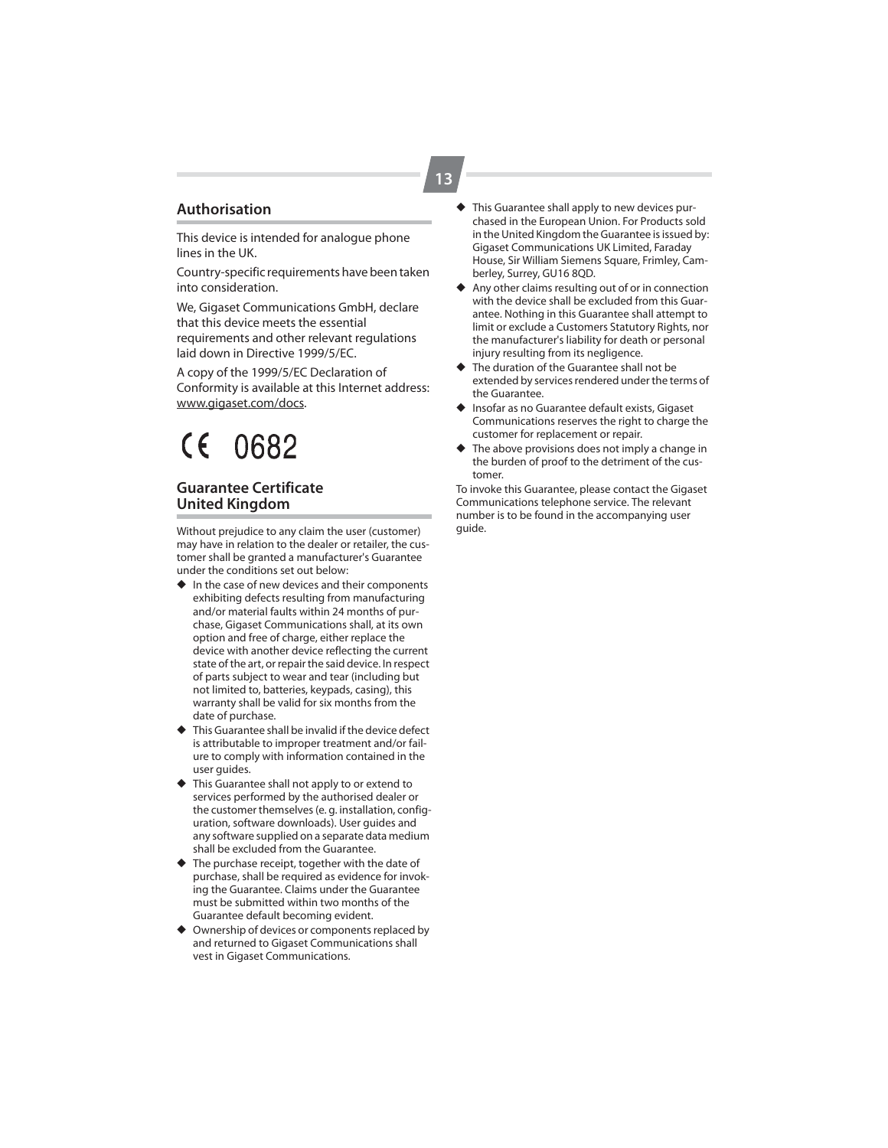## **Authorisation**

This device is intended for analogue phone lines in the UK.

Country-specific requirements have been taken into consideration.

We, Gigaset Communications GmbH, declare that this device meets the essential requirements and other relevant regulations laid down in Directive 1999/5/EC.

A copy of the 1999/5/EC Declaration of Conformity is available at this Internet address: www.gigaset.com/docs.

# $\epsilon$ 0682

## **Guarantee Certificate United Kingdom**

Without prejudice to any claim the user (customer) may have in relation to the dealer or retailer, the customer shall be granted a manufacturer's Guarantee under the conditions set out below:

- ◆ In the case of new devices and their components exhibiting defects resulting from manufacturing and/or material faults within 24 months of purchase, Gigaset Communications shall, at its own option and free of charge, either replace the device with another device reflecting the current state of the art, or repair the said device. In respect of parts subject to wear and tear (including but not limited to, batteries, keypads, casing), this warranty shall be valid for six months from the date of purchase.
- ◆ This Guarantee shall be invalid if the device defect is attributable to improper treatment and/or failure to comply with information contained in the user guides.
- ◆ This Guarantee shall not apply to or extend to services performed by the authorised dealer or the customer themselves (e. g. installation, configuration, software downloads). User guides and any software supplied on a separate data medium shall be excluded from the Guarantee.
- ◆ The purchase receipt, together with the date of purchase, shall be required as evidence for invoking the Guarantee. Claims under the Guarantee must be submitted within two months of the Guarantee default becoming evident.
- ◆ Ownership of devices or components replaced by and returned to Gigaset Communications shall vest in Gigaset Communications.
- ◆ This Guarantee shall apply to new devices purchased in the European Union. For Products sold in the United Kingdom the Guarantee is issued by: Gigaset Communications UK Limited, Faraday House, Sir William Siemens Square, Frimley, Camberley, Surrey, GU16 8QD.
- Any other claims resulting out of or in connection with the device shall be excluded from this Guarantee. Nothing in this Guarantee shall attempt to limit or exclude a Customers Statutory Rights, nor the manufacturer's liability for death or personal injury resulting from its negligence.
- ◆ The duration of the Guarantee shall not be extended by services rendered under the terms of the Guarantee.
- Insofar as no Guarantee default exists, Gigaset Communications reserves the right to charge the customer for replacement or repair.
- The above provisions does not imply a change in the burden of proof to the detriment of the customer.

To invoke this Guarantee, please contact the Gigaset Communications telephone service. The relevant number is to be found in the accompanying user guide.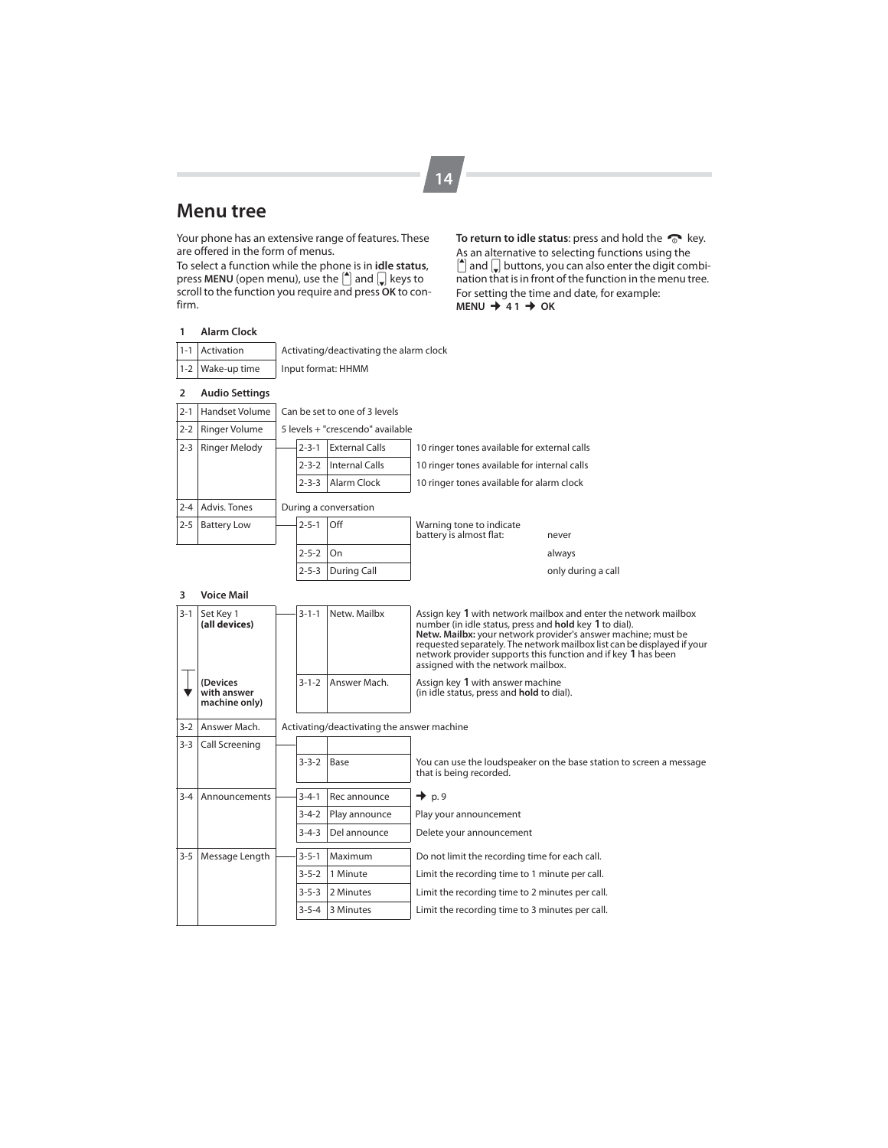# **Menu tree**

Your phone has an extensive range of features. These are offered in the form of menus.

To select a function while the phone is in **idle status**, press **MENU** (open menu), use the  $\left[\begin{matrix} A \\ C \end{matrix}\right]$  and  $\left[\begin{matrix} C \\ F \end{matrix}\right]$  keys to scroll to the function you require and press **OK** to confirm.

To return to idle status: press and hold the  $\,\heartsuit\,$  key. As an alternative to selecting functions using the  $\left[\begin{matrix} \bullet \end{matrix}\right]$  and  $\left[\begin{matrix} \circ \end{matrix}\right]$  buttons, you can also enter the digit combination that is in front of the function in the menu tree. For setting the time and date, for example:  $MENU + 41 + OK$ 

## **1 Alarm Clock**

| 1-1 Activation   | Activating/deactivating the alarm clock |
|------------------|-----------------------------------------|
| 1-2 Wake-up time | Input format: HHMM                      |

| 2       | <b>Audio Settings</b> |                               |             |                                  |                                                     |                    |  |  |  |
|---------|-----------------------|-------------------------------|-------------|----------------------------------|-----------------------------------------------------|--------------------|--|--|--|
| $2 - 1$ | Handset Volume        | Can be set to one of 3 levels |             |                                  |                                                     |                    |  |  |  |
| $2 - 2$ | Ringer Volume         |                               |             | 5 levels + "crescendo" available |                                                     |                    |  |  |  |
| $2 - 3$ | <b>Ringer Melody</b>  |                               | $2 - 3 - 1$ | <b>External Calls</b>            | 10 ringer tones available for external calls        |                    |  |  |  |
|         |                       |                               | $2 - 3 - 2$ | Internal Calls                   | 10 ringer tones available for internal calls        |                    |  |  |  |
|         |                       |                               | $2 - 3 - 3$ | Alarm Clock                      | 10 ringer tones available for alarm clock           |                    |  |  |  |
| $2 - 4$ | Advis, Tones          | During a conversation         |             |                                  |                                                     |                    |  |  |  |
| $2 - 5$ | <b>Battery Low</b>    |                               | $2 - 5 - 1$ | Off                              | Warning tone to indicate<br>battery is almost flat: | never              |  |  |  |
|         |                       |                               | $2 - 5 - 2$ | On                               |                                                     | always             |  |  |  |
|         |                       |                               | $2 - 5 - 3$ | During Call                      |                                                     | only during a call |  |  |  |

#### **3 Voice Mail**

| $3 - 1$ | Set Key 1<br>(all devices)               |  | $3 - 1 - 1$ | Netw. Mailbx                               | Assign key 1 with network mailbox and enter the network mailbox<br>number (in idle status, press and hold key 1 to dial).<br>Netw. Mailbx: your network provider's answer machine; must be<br>requested separately. The network mailbox list can be displayed if your<br>network provider supports this function and if key 1 has been<br>assigned with the network mailbox. |  |  |  |
|---------|------------------------------------------|--|-------------|--------------------------------------------|------------------------------------------------------------------------------------------------------------------------------------------------------------------------------------------------------------------------------------------------------------------------------------------------------------------------------------------------------------------------------|--|--|--|
|         | (Devices<br>with answer<br>machine only) |  | $3 - 1 - 2$ | Answer Mach.                               | Assign key 1 with answer machine<br>(in idle status, press and hold to dial).                                                                                                                                                                                                                                                                                                |  |  |  |
| $3-2$   | Answer Mach.                             |  |             | Activating/deactivating the answer machine |                                                                                                                                                                                                                                                                                                                                                                              |  |  |  |
| $3 - 3$ | Call Screening                           |  |             |                                            |                                                                                                                                                                                                                                                                                                                                                                              |  |  |  |
|         |                                          |  | $3 - 3 - 2$ | Base                                       | You can use the loudspeaker on the base station to screen a message<br>that is being recorded.                                                                                                                                                                                                                                                                               |  |  |  |
| $3 - 4$ | Announcements                            |  | $3 - 4 - 1$ | Rec announce                               | $\rightarrow$ p.9                                                                                                                                                                                                                                                                                                                                                            |  |  |  |
|         |                                          |  | $3 - 4 - 2$ | Play announce                              | Play your announcement                                                                                                                                                                                                                                                                                                                                                       |  |  |  |
|         |                                          |  | $3 - 4 - 3$ | Del announce                               | Delete your announcement                                                                                                                                                                                                                                                                                                                                                     |  |  |  |
| $3 - 5$ | Message Length                           |  | $3 - 5 - 1$ | Maximum                                    | Do not limit the recording time for each call.                                                                                                                                                                                                                                                                                                                               |  |  |  |
|         |                                          |  | $3 - 5 - 2$ | 1 Minute                                   | Limit the recording time to 1 minute per call.                                                                                                                                                                                                                                                                                                                               |  |  |  |
|         |                                          |  | $3 - 5 - 3$ | 2 Minutes                                  | Limit the recording time to 2 minutes per call.                                                                                                                                                                                                                                                                                                                              |  |  |  |
|         |                                          |  | $3 - 5 - 4$ | 3 Minutes                                  | Limit the recording time to 3 minutes per call.                                                                                                                                                                                                                                                                                                                              |  |  |  |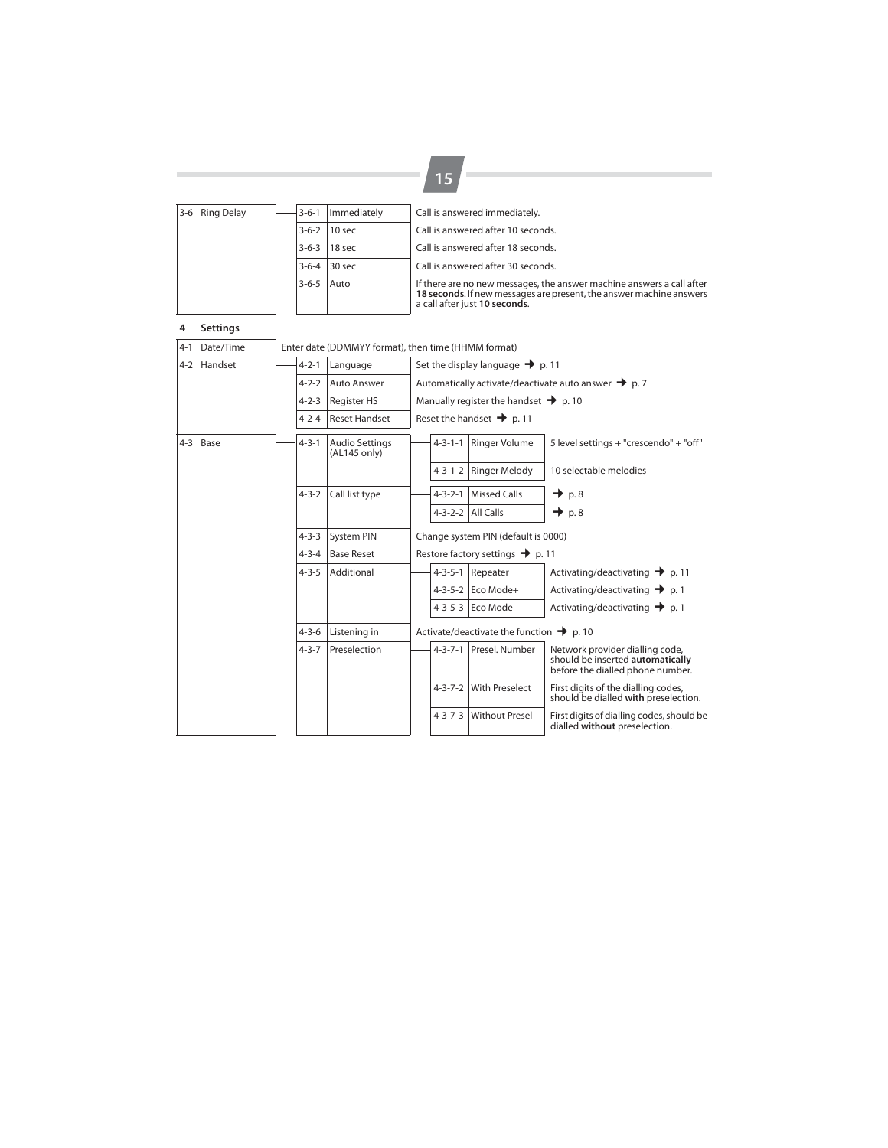| 3-6 Ring Delay |                |  | $3 - 6 - 1$ | Immediately                        | Call is answered immediately.                                                                                                                                                 |
|----------------|----------------|--|-------------|------------------------------------|-------------------------------------------------------------------------------------------------------------------------------------------------------------------------------|
|                |                |  |             | 3-6-2 10 sec                       | Call is answered after 10 seconds.                                                                                                                                            |
|                | $3-6-3$ 18 sec |  |             | Call is answered after 18 seconds. |                                                                                                                                                                               |
|                |                |  |             | $3-6-4$ 30 sec                     | Call is answered after 30 seconds.                                                                                                                                            |
|                |                |  | $3 - 6 - 5$ | Auto                               | If there are no new messages, the answer machine answers a call after<br>18 seconds. If new messages are present, the answer machine answers<br>a call after just 10 seconds. |

**15**

## **4 Settings**

| 4-1     | Date/Time | Enter date (DDMMYY format), then time (HHMM format) |             |                                       |                                              |                                                      |                                                   |                                                                                                         |  |  |
|---------|-----------|-----------------------------------------------------|-------------|---------------------------------------|----------------------------------------------|------------------------------------------------------|---------------------------------------------------|---------------------------------------------------------------------------------------------------------|--|--|
| $4 - 2$ | Handset   |                                                     | $4 - 2 - 1$ | Language                              | Set the display language $\rightarrow$ p. 11 |                                                      |                                                   |                                                                                                         |  |  |
|         |           |                                                     | $4 - 2 - 2$ | Auto Answer                           |                                              |                                                      |                                                   | Automatically activate/deactivate auto answer $\rightarrow$ p. 7                                        |  |  |
|         |           |                                                     | $4 - 2 - 3$ | <b>Register HS</b>                    |                                              |                                                      | Manually register the handset $\rightarrow$ p. 10 |                                                                                                         |  |  |
|         |           |                                                     | $4 - 2 - 4$ | <b>Reset Handset</b>                  | Reset the handset $\rightarrow$ p. 11        |                                                      |                                                   |                                                                                                         |  |  |
| $4 - 3$ | Base      |                                                     | $4 - 3 - 1$ | <b>Audio Settings</b><br>(AL145 only) |                                              | $4 - 3 - 1 - 1$                                      | Ringer Volume                                     | 5 level settings + "crescendo" + "off"                                                                  |  |  |
|         |           |                                                     |             |                                       |                                              |                                                      | 4-3-1-2 Ringer Melody                             | 10 selectable melodies                                                                                  |  |  |
|         |           |                                                     | $4 - 3 - 2$ | Call list type                        |                                              | $4 - 3 - 2 - 1$                                      | <b>Missed Calls</b>                               | $\rightarrow$ p.8                                                                                       |  |  |
|         |           |                                                     |             |                                       |                                              |                                                      | 4-3-2-2 All Calls                                 | $\rightarrow$ p. 8                                                                                      |  |  |
|         |           |                                                     | $4 - 3 - 3$ | <b>System PIN</b>                     |                                              | Change system PIN (default is 0000)                  |                                                   |                                                                                                         |  |  |
|         |           |                                                     | $4 - 3 - 4$ | <b>Base Reset</b>                     | Restore factory settings $\rightarrow$ p. 11 |                                                      |                                                   |                                                                                                         |  |  |
|         |           |                                                     | $4 - 3 - 5$ | Additional                            |                                              | $4 - 3 - 5 - 1$                                      | Repeater                                          | Activating/deactivating $\rightarrow$ p. 11                                                             |  |  |
|         |           |                                                     |             |                                       |                                              |                                                      | 4-3-5-2 Eco Mode+                                 | Activating/deactivating $\rightarrow$ p. 1                                                              |  |  |
|         |           |                                                     |             |                                       |                                              |                                                      | 4-3-5-3 Eco Mode                                  | Activating/deactivating $\rightarrow$ p. 1                                                              |  |  |
|         |           |                                                     | $4 - 3 - 6$ | Listening in                          |                                              | Activate/deactivate the function $\rightarrow$ p. 10 |                                                   |                                                                                                         |  |  |
|         |           |                                                     | $4 - 3 - 7$ | Preselection                          |                                              |                                                      | 4-3-7-1 Presel, Number                            | Network provider dialling code,<br>should be inserted automatically<br>before the dialled phone number. |  |  |
|         |           |                                                     |             |                                       |                                              | $4 - 3 - 7 - 2$                                      | <b>With Preselect</b>                             | First digits of the dialling codes,<br>should be dialled with preselection.                             |  |  |
|         |           |                                                     |             |                                       |                                              | $4 - 3 - 7 - 3$                                      | <b>Without Presel</b>                             | First digits of dialling codes, should be<br>dialled without preselection.                              |  |  |